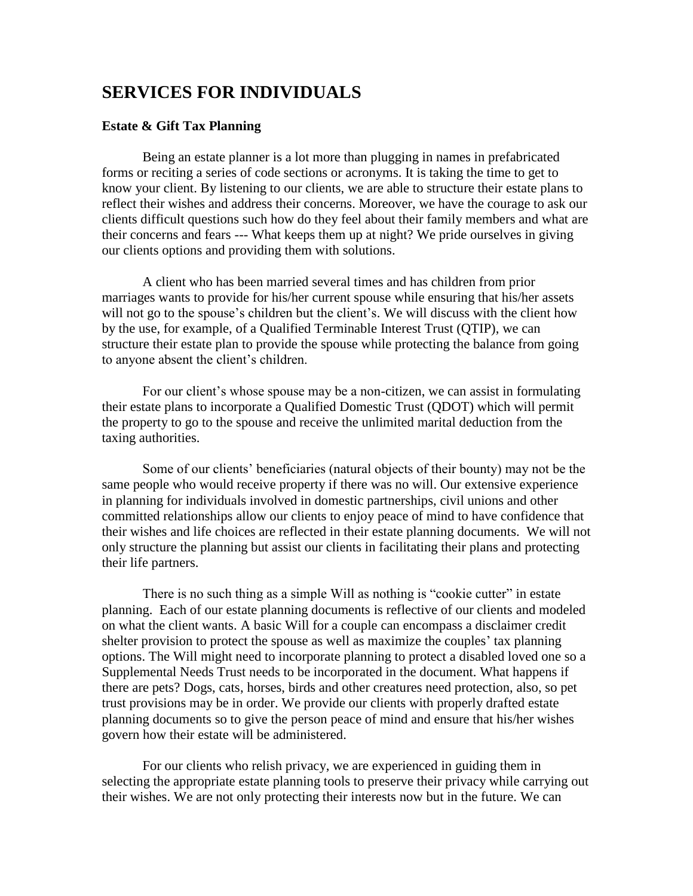# **SERVICES FOR INDIVIDUALS**

## **Estate & Gift Tax Planning**

Being an estate planner is a lot more than plugging in names in prefabricated forms or reciting a series of code sections or acronyms. It is taking the time to get to know your client. By listening to our clients, we are able to structure their estate plans to reflect their wishes and address their concerns. Moreover, we have the courage to ask our clients difficult questions such how do they feel about their family members and what are their concerns and fears --- What keeps them up at night? We pride ourselves in giving our clients options and providing them with solutions.

A client who has been married several times and has children from prior marriages wants to provide for his/her current spouse while ensuring that his/her assets will not go to the spouse's children but the client's. We will discuss with the client how by the use, for example, of a Qualified Terminable Interest Trust (QTIP), we can structure their estate plan to provide the spouse while protecting the balance from going to anyone absent the client's children.

For our client's whose spouse may be a non-citizen, we can assist in formulating their estate plans to incorporate a Qualified Domestic Trust (QDOT) which will permit the property to go to the spouse and receive the unlimited marital deduction from the taxing authorities.

Some of our clients' beneficiaries (natural objects of their bounty) may not be the same people who would receive property if there was no will. Our extensive experience in planning for individuals involved in domestic partnerships, civil unions and other committed relationships allow our clients to enjoy peace of mind to have confidence that their wishes and life choices are reflected in their estate planning documents. We will not only structure the planning but assist our clients in facilitating their plans and protecting their life partners.

There is no such thing as a simple Will as nothing is "cookie cutter" in estate planning. Each of our estate planning documents is reflective of our clients and modeled on what the client wants. A basic Will for a couple can encompass a disclaimer credit shelter provision to protect the spouse as well as maximize the couples' tax planning options. The Will might need to incorporate planning to protect a disabled loved one so a Supplemental Needs Trust needs to be incorporated in the document. What happens if there are pets? Dogs, cats, horses, birds and other creatures need protection, also, so pet trust provisions may be in order. We provide our clients with properly drafted estate planning documents so to give the person peace of mind and ensure that his/her wishes govern how their estate will be administered.

For our clients who relish privacy, we are experienced in guiding them in selecting the appropriate estate planning tools to preserve their privacy while carrying out their wishes. We are not only protecting their interests now but in the future. We can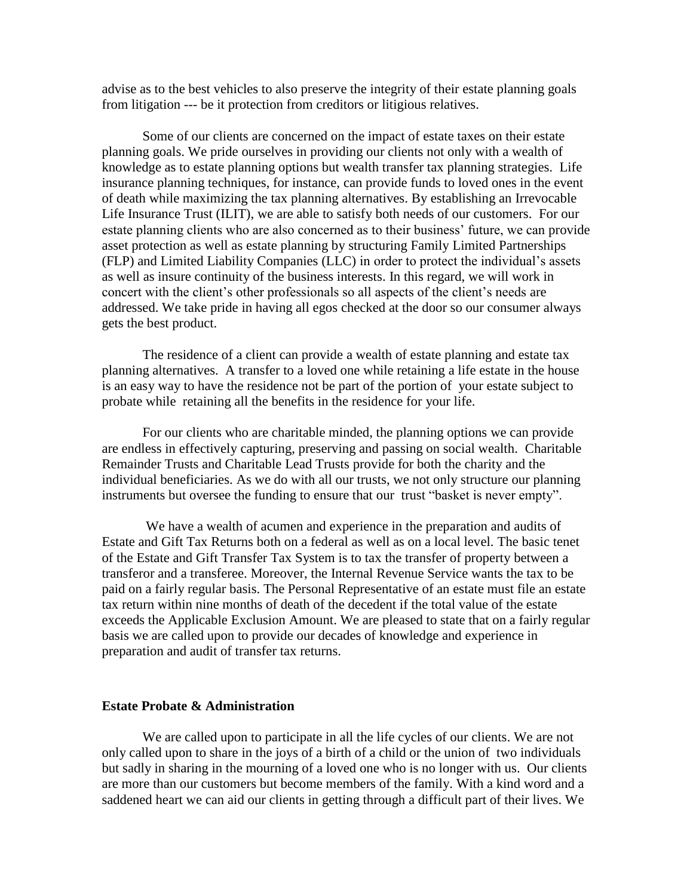advise as to the best vehicles to also preserve the integrity of their estate planning goals from litigation --- be it protection from creditors or litigious relatives.

Some of our clients are concerned on the impact of estate taxes on their estate planning goals. We pride ourselves in providing our clients not only with a wealth of knowledge as to estate planning options but wealth transfer tax planning strategies. Life insurance planning techniques, for instance, can provide funds to loved ones in the event of death while maximizing the tax planning alternatives. By establishing an Irrevocable Life Insurance Trust (ILIT), we are able to satisfy both needs of our customers. For our estate planning clients who are also concerned as to their business' future, we can provide asset protection as well as estate planning by structuring Family Limited Partnerships (FLP) and Limited Liability Companies (LLC) in order to protect the individual's assets as well as insure continuity of the business interests. In this regard, we will work in concert with the client's other professionals so all aspects of the client's needs are addressed. We take pride in having all egos checked at the door so our consumer always gets the best product.

The residence of a client can provide a wealth of estate planning and estate tax planning alternatives. A transfer to a loved one while retaining a life estate in the house is an easy way to have the residence not be part of the portion of your estate subject to probate while retaining all the benefits in the residence for your life.

For our clients who are charitable minded, the planning options we can provide are endless in effectively capturing, preserving and passing on social wealth. Charitable Remainder Trusts and Charitable Lead Trusts provide for both the charity and the individual beneficiaries. As we do with all our trusts, we not only structure our planning instruments but oversee the funding to ensure that our trust "basket is never empty".

We have a wealth of acumen and experience in the preparation and audits of Estate and Gift Tax Returns both on a federal as well as on a local level. The basic tenet of the Estate and Gift Transfer Tax System is to tax the transfer of property between a transferor and a transferee. Moreover, the Internal Revenue Service wants the tax to be paid on a fairly regular basis. The Personal Representative of an estate must file an estate tax return within nine months of death of the decedent if the total value of the estate exceeds the Applicable Exclusion Amount. We are pleased to state that on a fairly regular basis we are called upon to provide our decades of knowledge and experience in preparation and audit of transfer tax returns.

## **Estate Probate & Administration**

We are called upon to participate in all the life cycles of our clients. We are not only called upon to share in the joys of a birth of a child or the union of two individuals but sadly in sharing in the mourning of a loved one who is no longer with us. Our clients are more than our customers but become members of the family. With a kind word and a saddened heart we can aid our clients in getting through a difficult part of their lives. We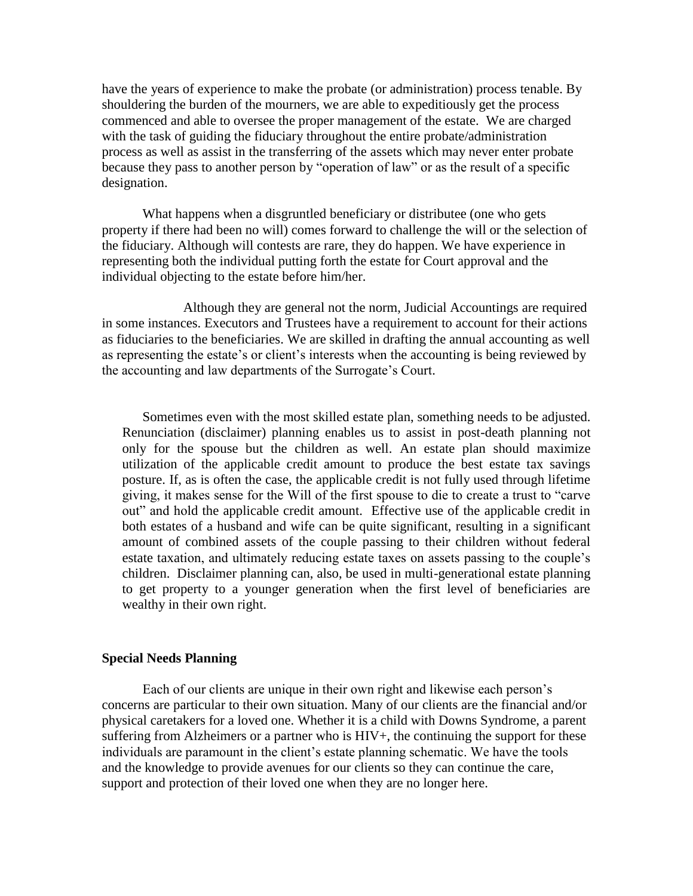have the years of experience to make the probate (or administration) process tenable. By shouldering the burden of the mourners, we are able to expeditiously get the process commenced and able to oversee the proper management of the estate. We are charged with the task of guiding the fiduciary throughout the entire probate/administration process as well as assist in the transferring of the assets which may never enter probate because they pass to another person [by](http://en.wikipedia.org/wiki/Contract) "operation of law" or as the result of a specific designation.

What happens when a disgruntled beneficiary or distributee (one who gets property if there had been no will) comes forward to challenge the will or the selection of the fiduciary. Although will contests are rare, they do happen. We have experience in representing both the individual putting forth the estate for Court approval and the individual objecting to the estate before him/her.

Although they are general not the norm, Judicial Accountings are required in some instances. Executors and Trustees have a requirement to account for their actions as fiduciaries to the beneficiaries. We are skilled in drafting the annual accounting as well as representing the estate's or client's interests when the accounting is being reviewed by the accounting and law departments of the Surrogate's Court.

Sometimes even with the most skilled estate plan, something needs to be adjusted. Renunciation (disclaimer) planning enables us to assist in post-death planning not only for the spouse but the children as well. An estate plan should maximize utilization of the applicable credit amount to produce the best estate tax savings posture. If, as is often the case, the applicable credit is not fully used through lifetime giving, it makes sense for the Will of the first spouse to die to create a trust to "carve out" and hold the applicable credit amount. Effective use of the applicable credit in both estates of a husband and wife can be quite significant, resulting in a significant amount of combined assets of the couple passing to their children without federal estate taxation, and ultimately reducing estate taxes on assets passing to the couple's children. Disclaimer planning can, also, be used in multi-generational estate planning to get property to a younger generation when the first level of beneficiaries are wealthy in their own right.

#### **Special Needs Planning**

Each of our clients are unique in their own right and likewise each person's concerns are particular to their own situation. Many of our clients are the financial and/or physical caretakers for a loved one. Whether it is a child with Downs Syndrome, a parent suffering from Alzheimers or a partner who is HIV+, the continuing the support for these individuals are paramount in the client's estate planning schematic. We have the tools and the knowledge to provide avenues for our clients so they can continue the care, support and protection of their loved one when they are no longer here.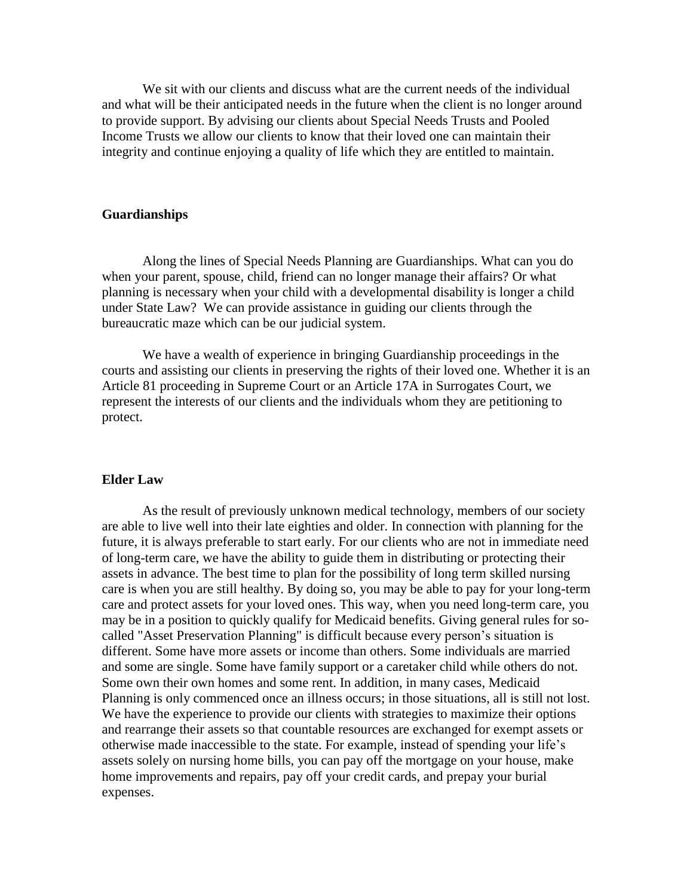We sit with our clients and discuss what are the current needs of the individual and what will be their anticipated needs in the future when the client is no longer around to provide support. By advising our clients about Special Needs Trusts and Pooled Income Trusts we allow our clients to know that their loved one can maintain their integrity and continue enjoying a quality of life which they are entitled to maintain.

#### **Guardianships**

Along the lines of Special Needs Planning are Guardianships. What can you do when your parent, spouse, child, friend can no longer manage their affairs? Or what planning is necessary when your child with a developmental disability is longer a child under State Law? We can provide assistance in guiding our clients through the bureaucratic maze which can be our judicial system.

We have a wealth of experience in bringing Guardianship proceedings in the courts and assisting our clients in preserving the rights of their loved one. Whether it is an Article 81 proceeding in Supreme Court or an Article 17A in Surrogates Court, we represent the interests of our clients and the individuals whom they are petitioning to protect.

#### **Elder Law**

As the result of previously unknown medical technology, members of our society are able to live well into their late eighties and older. In connection with planning for the future, it is always preferable to start early. For our clients who are not in immediate need of long-term care, we have the ability to guide them in distributing or protecting their assets in advance. The best time to plan for the possibility of long term skilled nursing care is when you are still healthy. By doing so, you may be able to pay for your long-term care and protect assets for your loved ones. This way, when you need long-term care, you may be in a position to quickly qualify for Medicaid benefits. Giving general rules for socalled "Asset Preservation Planning" is difficult because every person's situation is different. Some have more assets or income than others. Some individuals are married and some are single. Some have family support or a caretaker child while others do not. Some own their own homes and some rent. In addition, in many cases, Medicaid Planning is only commenced once an illness occurs; in those situations, all is still not lost. We have the experience to provide our clients with strategies to maximize their options and rearrange their assets so that countable resources are exchanged for exempt assets or otherwise made inaccessible to the state. For example, instead of spending your life's assets solely on nursing home bills, you can pay off the mortgage on your house, make home improvements and repairs, pay off your credit cards, and prepay your burial expenses.